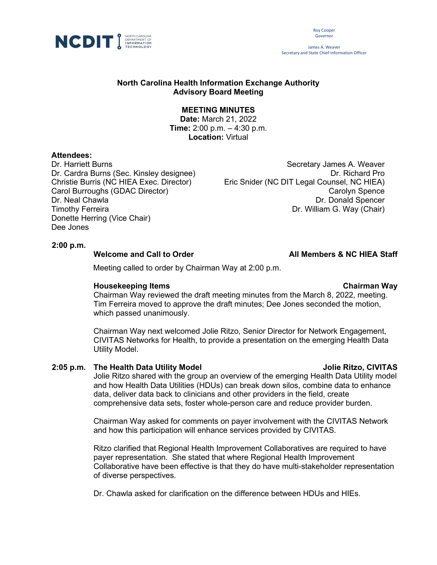

Roy Cooper Governor

James A. Weaver Secretary and State Chief Information Officer

# **North Carolina Health Information Exchange Authority Advisory Board Meeting**

# **MEETING MINUTES**

**Date:** March 21, 2022 **Time:** 2:00 p.m. – 4:30 p.m. **Location:** Virtual

### **Attendees:**

Dr. Harriett Burns **Secretary James A. Weaver** Secretary James A. Weaver Donette Herring (Vice Chair) Dee Jones

Dr. Cardra Burns (Sec. Kinsley designee) Dr. Cardra Dr. Richard Pro Christie Burris (NC HIEA Exec. Director) Eric Snider (NC DIT Legal Counsel, NC HIEA) Carol Burroughs (GDAC Director) Carolyn Spence Dr. Neal Chawla Dr. Donald Spencer<br>Timothy Ferreira Dr. Donald Spencer<br>Dr. William G. Wav (Chair) Dr. William G. Way (Chair)

### **2:00 p.m.**

#### Welcome and Call to Order **All Members & NC HIEA Staff**

Meeting called to order by Chairman Way at 2:00 p.m.

### **Housekeeping Items**

#### **Chairman Way**

Chairman Way reviewed the draft meeting minutes from the March 8, 2022, meeting. Tim Ferreira moved to approve the draft minutes; Dee Jones seconded the motion, which passed unanimously.

Chairman Way next welcomed Jolie Ritzo, Senior Director for Network Engagement, CIVITAS Networks for Health, to provide a presentation on the emerging Health Data Utility Model.

## **2:05 p.m. The Health Data Utility Model Jolie Ritzo, CIVITAS**

Jolie Ritzo shared with the group an overview of the emerging Health Data Utility model and how Health Data Utilities (HDUs) can break down silos, combine data to enhance data, deliver data back to clinicians and other providers in the field, create comprehensive data sets, foster whole-person care and reduce provider burden.

Chairman Way asked for comments on payer involvement with the CIVITAS Network and how this participation will enhance services provided by CIVITAS.

Ritzo clarified that Regional Health Improvement Collaboratives are required to have payer representation. She stated that where Regional Health Improvement Collaborative have been effective is that they do have multi-stakeholder representation of diverse perspectives.

Dr. Chawla asked for clarification on the difference between HDUs and HIEs.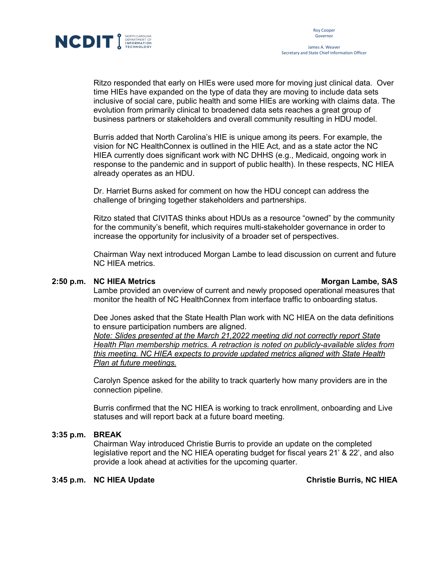

James A. Weaver Secretary and State Chief Information Officer

Ritzo responded that early on HIEs were used more for moving just clinical data. Over time HIEs have expanded on the type of data they are moving to include data sets inclusive of social care, public health and some HIEs are working with claims data. The evolution from primarily clinical to broadened data sets reaches a great group of business partners or stakeholders and overall community resulting in HDU model.

Burris added that North Carolina's HIE is unique among its peers. For example, the vision for NC HealthConnex is outlined in the HIE Act, and as a state actor the NC HIEA currently does significant work with NC DHHS (e.g., Medicaid, ongoing work in response to the pandemic and in support of public health). In these respects, NC HIEA already operates as an HDU.

Dr. Harriet Burns asked for comment on how the HDU concept can address the challenge of bringing together stakeholders and partnerships.

Ritzo stated that CIVITAS thinks about HDUs as a resource "owned" by the community for the community's benefit, which requires multi-stakeholder governance in order to increase the opportunity for inclusivity of a broader set of perspectives.

Chairman Way next introduced Morgan Lambe to lead discussion on current and future NC HIEA metrics.

## **2:50 p.m. NCHIEA Metrics Morgan Lambe, SAS**

Lambe provided an overview of current and newly proposed operational measures that monitor the health of NC HealthConnex from interface traffic to onboarding status.

Dee Jones asked that the State Health Plan work with NC HIEA on the data definitions to ensure participation numbers are aligned.

*Note: Slides presented at the March 21,2022 meeting did not correctly report State Health Plan membership metrics. A retraction is noted on publicly-available slides from this meeting. NC HIEA expects to provide updated metrics aligned with State Health Plan at future meetings.*

Carolyn Spence asked for the ability to track quarterly how many providers are in the connection pipeline.

Burris confirmed that the NC HIEA is working to track enrollment, onboarding and Live statuses and will report back at a future board meeting.

## **3:35 p.m. BREAK**

Chairman Way introduced Christie Burris to provide an update on the completed legislative report and the NC HIEA operating budget for fiscal years 21' & 22', and also provide a look ahead at activities for the upcoming quarter.

## **3:45 p.m. NC HIEA Update Christie Burris, NC HIEA**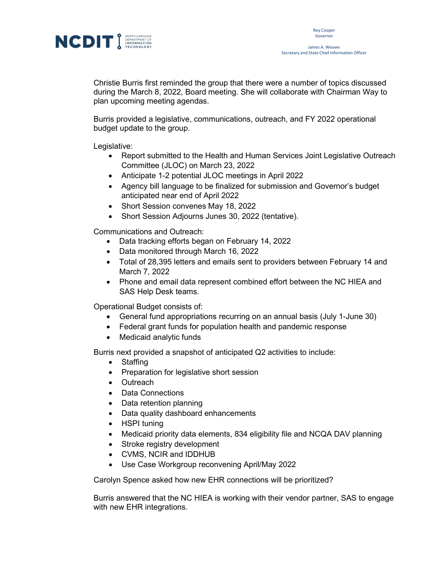

Christie Burris first reminded the group that there were a number of topics discussed during the March 8, 2022, Board meeting. She will collaborate with Chairman Way to plan upcoming meeting agendas.

Burris provided a legislative, communications, outreach, and FY 2022 operational budget update to the group.

Legislative:

- Report submitted to the Health and Human Services Joint Legislative Outreach Committee (JLOC) on March 23, 2022
- Anticipate 1-2 potential JLOC meetings in April 2022
- Agency bill language to be finalized for submission and Governor's budget anticipated near end of April 2022
- Short Session convenes May 18, 2022
- Short Session Adjourns Junes 30, 2022 (tentative).

Communications and Outreach:

- Data tracking efforts began on February 14, 2022
- Data monitored through March 16, 2022
- Total of 28,395 letters and emails sent to providers between February 14 and March 7, 2022
- Phone and email data represent combined effort between the NC HIEA and SAS Help Desk teams.

Operational Budget consists of:

- General fund appropriations recurring on an annual basis (July 1-June 30)
- Federal grant funds for population health and pandemic response
- Medicaid analytic funds

Burris next provided a snapshot of anticipated Q2 activities to include:

- Staffing
- Preparation for legislative short session
- Outreach
- Data Connections
- Data retention planning
- Data quality dashboard enhancements
- HSPI tuning
- Medicaid priority data elements, 834 eligibility file and NCQA DAV planning
- Stroke registry development
- CVMS, NCIR and IDDHUB
- Use Case Workgroup reconvening April/May 2022

Carolyn Spence asked how new EHR connections will be prioritized?

Burris answered that the NC HIEA is working with their vendor partner, SAS to engage with new EHR integrations.